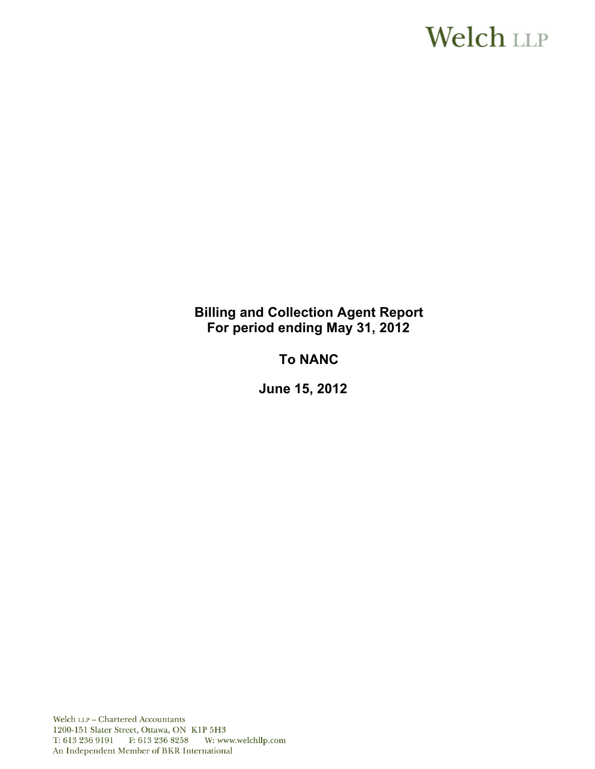# Welch LLP

### **Billing and Collection Agent Report For period ending May 31, 2012**

## **To NANC**

 **June 15, 2012**

Welch LLP - Chartered Accountants 1200-151 Slater Street, Ottawa, ON K1P 5H3 T: 613 236 9191 F: 613 236 8258 W: www.welchllp.com An Independent Member of BKR International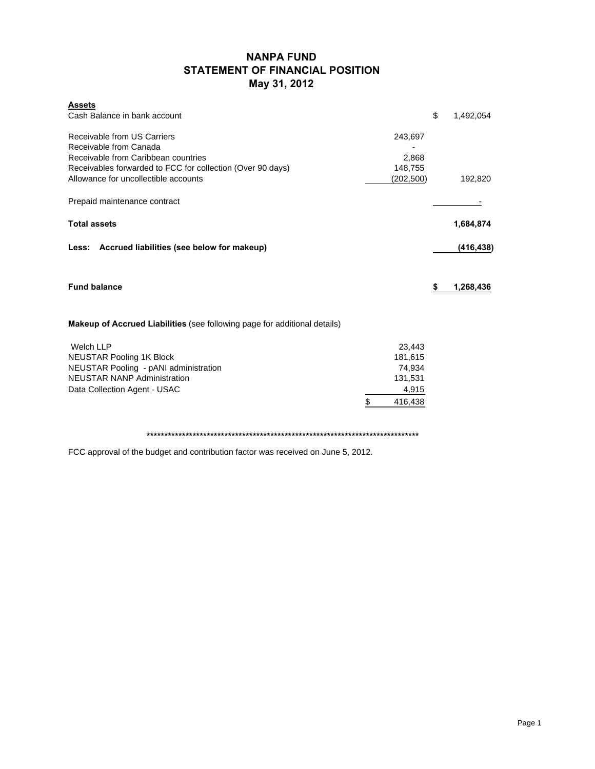### **NANPA FUND STATEMENT OF FINANCIAL POSITION May 31, 2012**

| <b>Assets</b><br>Cash Balance in bank account                                    |                  | \$<br>1,492,054 |
|----------------------------------------------------------------------------------|------------------|-----------------|
| Receivable from US Carriers                                                      | 243,697          |                 |
| Receivable from Canada<br>Receivable from Caribbean countries                    | 2,868            |                 |
| Receivables forwarded to FCC for collection (Over 90 days)                       | 148,755          |                 |
| Allowance for uncollectible accounts                                             | (202, 500)       | 192,820         |
| Prepaid maintenance contract                                                     |                  |                 |
| <b>Total assets</b>                                                              |                  | 1,684,874       |
| Less: Accrued liabilities (see below for makeup)                                 |                  | (416, 438)      |
| <b>Fund balance</b>                                                              |                  | \$<br>1,268,436 |
| <b>Makeup of Accrued Liabilities</b> (see following page for additional details) |                  |                 |
| <b>Welch LLP</b>                                                                 | 23,443           |                 |
| <b>NEUSTAR Pooling 1K Block</b>                                                  | 181,615          |                 |
| NEUSTAR Pooling - pANI administration<br><b>NEUSTAR NANP Administration</b>      | 74,934           |                 |
| Data Collection Agent - USAC                                                     | 131,531<br>4,915 |                 |
|                                                                                  | \$<br>416.438    |                 |

**\*\*\*\*\*\*\*\*\*\*\*\*\*\*\*\*\*\*\*\*\*\*\*\*\*\*\*\*\*\*\*\*\*\*\*\*\*\*\*\*\*\*\*\*\*\*\*\*\*\*\*\*\*\*\*\*\*\*\*\*\*\*\*\*\*\*\*\*\*\*\*\*\*\*\*\*\***

FCC approval of the budget and contribution factor was received on June 5, 2012.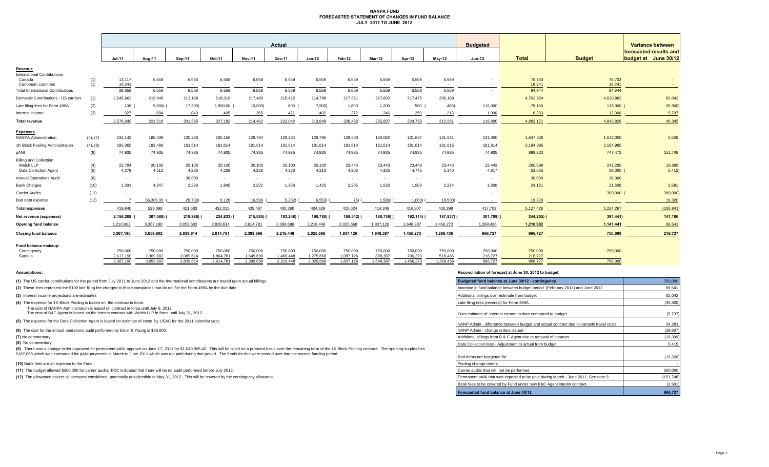### **NANPA FUND FORECASTED STATEMENT OF CHANGES IN FUND BALANCE JULY 2011 TO JUNE 2012**

|                                                                     |                | Actual                   |                      |                      |                          |                          |                      |                      |                      |                    | <b>Budgeted</b>    |                    |                          |                    |                   |                                            |
|---------------------------------------------------------------------|----------------|--------------------------|----------------------|----------------------|--------------------------|--------------------------|----------------------|----------------------|----------------------|--------------------|--------------------|--------------------|--------------------------|--------------------|-------------------|--------------------------------------------|
|                                                                     |                |                          |                      |                      |                          |                          |                      |                      |                      |                    |                    |                    |                          |                    |                   | Variance between<br>forecasted results and |
|                                                                     |                | <b>Jul-11</b>            | Aug-11               | Sep-11               | Oct-11                   | <b>Nov-11</b>            | Dec-11               | $Jan-12$             | Feb-12               | Mar-12             | Apr-12             | $May-12$           | <b>Jun-12</b>            | <b>Total</b>       | <b>Budget</b>     | budget at June 30/12                       |
| Revenue<br><b>International Contributions</b>                       |                |                          |                      |                      |                          |                          |                      |                      |                      |                    |                    |                    |                          |                    |                   |                                            |
| Canada<br>Caribbean countries                                       | $\binom{1}{1}$ | 13,117<br>16,241         | 6,558<br>$\sim$      | 6,558<br>$\sim$      | 6,558<br>$\sim$          | 6,558<br>$\sim$          | 6,559<br>$\sim$      | 6,559<br>$\sim$      | 6,559                | 6,559<br>$\sim$    | 6,559<br>$\sim$    | 6,559<br>$\sim$    | $\sim$<br>$\sim$         | 78,703<br>16.241   | 78,703<br>16,241  |                                            |
| <b>Total International Contributions</b>                            |                | 29.358                   | 6.558                | 6,558                | 6.558                    | 6.558                    | 6.559                | 6.559                | 6,559                | 6.559              | 6.559              | 6.559              | $\sim$                   | 94,944             | 94.944            |                                            |
| Domestic Contributions - US carriers                                | (1)            | 2,545,663                | 219.948              | 212,188              | 218,319                  | 217.489                  | 215,412              | 214,788              | 217,851              | 217,602            | 217.475            | 206,189            |                          | 4,702,924          | 4,620,882         | 82,042                                     |
| Late filing fees for Form 499A                                      | (2)            | 100                      | $5,800$ )            | 17,900)              | 1,900.00                 | 10,000)                  | 600 (                | 7,900)               | 1,800                | 1,200              | 500 (              | 400)               | 115,000                  | 79,100             | 115,000           | 35,900                                     |
| Interest income                                                     | (3)            | 927                      | 804                  | 849                  | 405                      | 355                      | 471                  | 402                  | 272                  | 246                | 259                | 213                | 1,000                    | 6,203              | 12,000            | 5,797                                      |
| <b>Total revenue</b>                                                |                | 2,576,048                | 221,510              | 201,695              | 227,182                  | 214,402                  | 223,042              | 213,849              | 226,482              | 225,607            | 224,793            | 212,561            | 116,000                  | 4,883,171          | 4,842,826         | 40,345                                     |
| <b>Expenses</b><br><b>NANPA Administration</b>                      | (4), (7)       | 131,142                  | 185,409              | 130,226              | 160,156                  | 129,794                  | 129,224              | 128,795              | 128,500              | 130,082            | 131,667            | 131,531            | 131,000                  | 1,647,526          | 1,642,000         | 5,526                                      |
| 1K Block Pooling Administration                                     | (4), (8)       | 185,365                  | 183,489              | 181.614              | 181,614                  | 181,614                  | 181,614              | 181,614              | 181,614              | 181,614            | 181,614            | 181,615            | 181,614                  | 2,184,995          | 2,184,995         |                                            |
| pANI                                                                | (9)            | 74,935                   | 74,935               | 74,935               | 74,935                   | 74,935                   | 74,935               | 74,935               | 74,935               | 74,935             | 74,935             | 74,935             | 74,935                   | 899,220            | 747,472           | 151,748                                    |
| <b>Billing and Collection</b><br>Welch LLP<br>Data Collection Agent | (4)<br>(5)     | 22,784<br>4,276          | 20,100<br>4,512      | 20,100<br>4,266      | 20,100<br>4,239          | 20,100<br>4,226          | 20,100<br>4,323      | 20,100<br>4,313      | 23,443<br>4,303      | 23,443<br>4,325    | 23,443<br>4,745    | 23,443<br>5,140    | 23,443<br>4,917          | 260,599<br>53,585  | 241,200<br>59,000 | 19,399<br>5,415                            |
| <b>Annual Operations Audit</b>                                      | (6)            | $\sim$                   | $\sim$               | 38,000               | $\sim$                   | $\sim$                   | $\sim$               | $\sim$               | $\sim$               | $\sim$             | $\sim$             |                    | $\sim$                   | 38,000             | 38,000            |                                            |
| <b>Bank Charges</b>                                                 | (10)           | 1,331                    | 4.347                | 2,280                | 1.845                    | 2,222                    | 1,356                | 1,425                | 2,305                | 1.533              | 1,503              | 2,234              | 1,800                    | 24,181             | 21,600            | 2,581                                      |
| <b>Carrier Audits</b>                                               | (11)           | $\overline{\phantom{a}}$ | $\sim$               |                      | $\overline{\phantom{a}}$ | $\overline{\phantom{a}}$ | $\sim$               | $\sim$               |                      | $\sim$             | $\sim$             |                    | $\overline{\phantom{a}}$ |                    | 300,000           | 300,000                                    |
| Bad debt expense                                                    | (12)           |                          | 56,306.00            | 29,738)              | 9,126                    | 16,596                   | 5,262                | 6,553)               | 76)                  | 1,586)             | 1,000              | 18,500)            | $\sim$                   | 19,320             | $\sim$            | 19,320                                     |
| <b>Total expenses</b>                                               |                | 419,840                  | 529,098              | 421,683              | 452,015                  | 429,487                  | 406,290              | 404,629              | 415,024              | 414,346            | 416,907            | 400,398            | 417,709                  | 5,127,426          | 5,234,267         | (106, 841)                                 |
| Net revenue (expenses)                                              |                | 2,156,208                | 307,588)             | 219,988)             | 224,833)                 | 215,085)                 | 183,248)             | 190,780)             | 188,542)             | 188,739)           | 192,114)           | 187,837) (         | $301,709$ )              | $244,255$ ) (      | 391,441           | 147,186                                    |
| Opening fund balance                                                |                | 1,210,982                | 3,367,190            | 3,059,602            | 2,839,614                | 2,614,781                | 2,399,696            | 2,216,448            | 2,025,668            | 1,837,126          | 1,648,387          | 1,456,273          | 1,268,436                | 1,210,982          | 1,141,441         | 69,541                                     |
| <b>Closing fund balance</b>                                         |                | 3,367,190                | 3.059.602            | 2.839.614            | 2.614.781                | 2.399.696                | 2,216,448            | 2,025,668            | 1,837,126            | 1.648.387          | 1,456,273          | 1,268,436          | 966,727                  | 966,727            | 750,000           | 216,727                                    |
| Fund balance makeup:                                                |                |                          |                      |                      |                          |                          |                      |                      |                      |                    |                    |                    |                          |                    |                   |                                            |
| Contingency<br>Surplus                                              |                | 750,000<br>2.617.190     | 750,000<br>2,309,602 | 750,000<br>2.089.614 | 750,000<br>1.864.781     | 750,000<br>1.649.696     | 750,000<br>1,466,448 | 750,000<br>1,275,668 | 750,000<br>1,087,126 | 750,000<br>898.387 | 750,000<br>706.273 | 750,000<br>518.436 | 750,000<br>216,727       | 750,000<br>216,727 | 750,000<br>$\sim$ |                                            |
|                                                                     |                | 3,367,190                | 3.059.602            | 2.839.614            | 2.614.781                | 2.399.696                | 2,216,448            | 2,025,668            | 1,837,126            | 1,648,387          | 1,456,273          | 1,268,436          | 966,727                  | 966,727            | 750,000           |                                            |

**(8)** No commentary

#### **Assumptions: Reconciliation of forecast at June 30, 2012 to budget**

| (1) The US carrier contributions for the period from July 2011 to June 2012 and the International contributions are based upon actual billings.                                                                                                                                                                                                                                                                       | Budgeted fund balance at June 30/12 - contingency                                       | 750,000    |
|-----------------------------------------------------------------------------------------------------------------------------------------------------------------------------------------------------------------------------------------------------------------------------------------------------------------------------------------------------------------------------------------------------------------------|-----------------------------------------------------------------------------------------|------------|
| (2) These fees represent the \$100 late filing fee charged to those companies that do not file the Form 499A by the due date.                                                                                                                                                                                                                                                                                         | Increase in fund balance between budget period (February 2012) and June 2012            | 69,541     |
| (3) Interest income projections are estimates                                                                                                                                                                                                                                                                                                                                                                         | Additional billings over estimate from budget                                           | 82,042     |
| (4) The expense for 1K Block Pooling is based on the contract in force.                                                                                                                                                                                                                                                                                                                                               | Late filing fees (reversal) for Form 499A                                               | (35,900)   |
| The cost of NANPA Administration is based on contract in force until July 8, 2012.<br>The cost of B&C Agent is based on the interim contract with Welch LLP in force until July 31, 2012.                                                                                                                                                                                                                             | Over estimate of interest earned to date compared to budget                             | (5,797)    |
| (5) The expense for the Data Collection Agent is based on estimate of costs by USAC for the 2011 calendar year.                                                                                                                                                                                                                                                                                                       | NANP Admin - difference between budget and actual contract due to variable travel costs | 24,281     |
| (6) The cost for the annual operations audit performed by Ernst & Young is \$38,000.                                                                                                                                                                                                                                                                                                                                  | NANP Admin - change orders issued                                                       | (29, 807)  |
| (7) No commentary                                                                                                                                                                                                                                                                                                                                                                                                     | Additional billings from B & C Agent due to renewal of contract                         | (19, 399)  |
| (8) No commentary                                                                                                                                                                                                                                                                                                                                                                                                     | Data Collection fees - Adjustment to actual from budget                                 | 5.415      |
| (9) There was a change order approved for permanent pANI approve on June 17, 2011 for \$1,040,905.42. This will be billed on a prorated basis over the remaining term of the 1K Block Pooling contract. The opening surplus has<br>\$167,858 which was earmarked for pANI payments in March to June 2011 which was not paid during that period. The funds for this were carried over into the current funding period. | Bad debts not budgeted for                                                              | (19, 320)  |
| (10) Bank fees are an expense to the Fund.                                                                                                                                                                                                                                                                                                                                                                            | Pooling change orders                                                                   |            |
| (11) The budget allowed \$300,000 for carrier audits. FCC indicated that there will be no audit performed before July 2012.                                                                                                                                                                                                                                                                                           | Carrier audits that will not be performed                                               | 300,000    |
| (12) The allowance covers all accounts considered potentially uncollectible at May 31, 2012. This will be covered by the contingency allowance.                                                                                                                                                                                                                                                                       | Permanent pANi that was expected to be paid during March - June 2011. See note 9.       | (151, 748) |
|                                                                                                                                                                                                                                                                                                                                                                                                                       | Bank fees to be covered by Fund under new B&C Agent interim contract                    | (2,581)    |
|                                                                                                                                                                                                                                                                                                                                                                                                                       | Forecasted fund balance at June 30/12                                                   | 966.727    |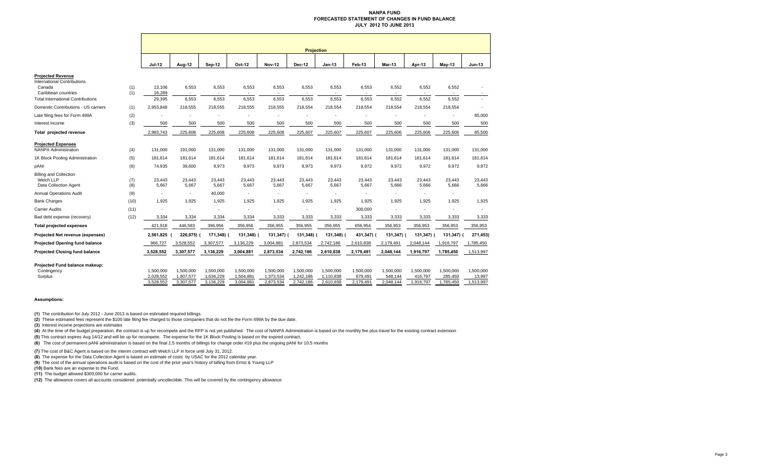#### **NANPA FUND FORECASTED STATEMENT OF CHANGES IN FUND BALANCEJULY 2012 TO JUNE 2013**

|                                                                          |            | <b>Projection</b>      |                                   |                        |                                   |                        |                        |                                   |                      |                      |                      |                      |                     |
|--------------------------------------------------------------------------|------------|------------------------|-----------------------------------|------------------------|-----------------------------------|------------------------|------------------------|-----------------------------------|----------------------|----------------------|----------------------|----------------------|---------------------|
|                                                                          |            |                        |                                   |                        |                                   |                        |                        |                                   |                      |                      |                      |                      |                     |
|                                                                          |            | <b>Jul-12</b>          | Aug-12                            | <b>Sep-12</b>          | Oct-12                            | <b>Nov-12</b>          | <b>Dec-12</b>          | $Jan-13$                          | Feb-13               | Mar-13               | Apr-13               | May-13               | Jun-13              |
| <b>Projected Revenue</b><br><b>International Contributions</b><br>Canada | (1)        | 13,106                 | 6,553                             | 6,553                  | 6,553                             | 6,553                  | 6,553                  | 6,553                             | 6,553                | 6,552                | 6,552                | 6,552                |                     |
| Caribbean countries<br><b>Total International Contributions</b>          | (1)        | 16,289<br>29,395       | $\overline{\phantom{a}}$<br>6,553 | 6,553                  | $\overline{\phantom{a}}$<br>6,553 | 6,553                  | 6,553                  | $\overline{\phantom{a}}$<br>6,553 | 6,553                | 6,552                | 6,552                | 6,552                |                     |
| Domestic Contributions - US carriers                                     | (1)        | 2,953,848              | 218,555                           | 218,555                | 218,555                           | 218,555                | 218,554                | 218,554                           | 218,554              | 218,554              | 218,554              | 218,554              |                     |
| Late filing fees for Form 499A                                           | (2)        |                        |                                   | ٠                      |                                   |                        |                        |                                   |                      |                      |                      | ٠                    | 85,000              |
| Interest income                                                          | (3)        | 500                    | 500                               | 500                    | 500                               | 500                    | 500                    | 500                               | 500                  | 500                  | 500                  | 500                  | 500                 |
| Total projected revenue                                                  |            | 2,983,743              | 225,608                           | 225,608                | 225,608                           | 225,608                | 225,607                | 225,607                           | 225,607              | 225,606              | 225,606              | 225,606              | 85,500              |
|                                                                          |            |                        |                                   |                        |                                   |                        |                        |                                   |                      |                      |                      |                      |                     |
| <b>Projected Expenses</b><br><b>NANPA Administration</b>                 | (4)        | 131,000                | 191,000                           | 131,000                | 131,000                           | 131,000                | 131,000                | 131,000                           | 131,000              | 131,000              | 131,000              | 131,000              | 131,000             |
| 1K Block Pooling Administration                                          | (5)        | 181,614                | 181,614                           | 181,614                | 181,614                           | 181,614                | 181,614                | 181.614                           | 181,614              | 181,614              | 181,614              | 181,614              | 181,614             |
| pANI                                                                     | (6)        | 74,935                 | 39,600                            | 9,973                  | 9,973                             | 9,973                  | 9,973                  | 9,973                             | 9,972                | 9,972                | 9,972                | 9,972                | 9,972               |
| <b>Billing and Collection</b><br>Welch LLP<br>Data Collection Agent      | (7)<br>(8) | 23.443<br>5,667        | 23,443<br>5,667                   | 23.443<br>5,667        | 23.443<br>5,667                   | 23,443<br>5,667        | 23,443<br>5,667        | 23.443<br>5,667                   | 23,443<br>5,667      | 23.443<br>5,666      | 23,443<br>5,666      | 23,443<br>5,666      | 23.443<br>5,666     |
| <b>Annual Operations Audit</b>                                           | (9)        | $\blacksquare$         | $\sim$                            | 40,000                 | $\overline{\phantom{a}}$          |                        | $\sim$                 | $\overline{\phantom{a}}$          |                      | $\sim$               |                      |                      |                     |
| <b>Bank Charges</b>                                                      | (10)       | 1,925                  | 1,925                             | 1,925                  | 1.925                             | 1,925                  | 1,925                  | 1,925                             | 1,925                | 1.925                | 1,925                | 1,925                | 1,925               |
| <b>Carrier Audits</b>                                                    | (11)       |                        |                                   | ٠                      |                                   |                        |                        |                                   | 300,000              |                      |                      |                      | ٠                   |
| Bad debt expense (recovery)                                              | (12)       | 3,334                  | 3,334                             | 3,334                  | 3,334                             | 3,333                  | 3,333                  | 3,333                             | 3,333                | 3,333                | 3,333                | 3,333                | 3,333               |
| <b>Total projected expenses</b>                                          |            | 421,918                | 446,583                           | 396,956                | 356,956                           | 356,955                | 356,955                | 356,955                           | 656,954              | 356,953              | 356,953              | 356,953              | 356,953             |
| Projected Net revenue (expenses)                                         |            | 2,561,825              | 220,975) (                        | 171,348) (             | 131,348)                          | 131,347)               | 131,348)               | 131,348) (                        | 431,347)             | 131,347) (           | 131,347) (           | 131,347)             | 271,453)            |
| <b>Projected Opening fund balance</b>                                    |            | 966,727                | 3,528,552                         | 3,307,577              | 3,136,229                         | 3,004,881              | 2,873,534              | 2,742,186                         | 2,610,838            | 2,179,491            | 2,048,144            | 1,916,797            | 1,785,450           |
| <b>Projected Closing fund balance</b>                                    |            | 3,528,552              | 3,307,577                         | 3,136,229              | 3,004,881                         | 2,873,534              | 2,742,186              | 2,610,838                         | 2,179,491            | 2,048,144            | 1,916,797            | 1,785,450            | 1,513,997           |
| Projected Fund balance makeup:<br>Contingency<br>Surplus                 |            | 1,500,000<br>2,028,552 | 1,500,000<br>1,807,577            | 1.500.000<br>1,636,229 | 1.500.000<br>1,504,881            | 1,500,000<br>1,373,534 | 1.500.000<br>1,242,186 | 1.500.000<br>1,110,838            | 1,500,000<br>679,491 | 1.500.000<br>548,144 | 1,500,000<br>416,797 | 1,500,000<br>285,450 | 1,500,000<br>13,997 |
|                                                                          |            | 3,528,552              | 3,307,577                         | 3,136,229              | 3,004,881                         | 2,873,534              | 2,742,186              | 2,610,838                         | 2,179,491            | 2,048,144            | 1,916,797            | 1,785,450            | 1,513,997           |

#### **Assumptions:**

**(1)** The contribution for July 2012 - June 2013 is based on estimated required billings.

**(2)** These estimated fees represent the \$100 late filing fee charged to those companies that do not file the Form 499A by the due date.

**(3)** Interest income projections are estimates

(4) At the time of the budget preparation, the contract is up for recompete and the RFP is not yet published. The cost of NANPA Administration is based on the monthly fee plus travel for the existing contract extension

**(5)** This contract expires Aug 14/12 and will be up for recompete. The expense for the 1K Block Pooling is based on the expired contract.

**(6)** The cost of permanent pANI administration is based on the final 1.5 months of billings for change order #19 plus the ongoing pANI for 10.5 months

**(7)** The cost of B&C Agent is based on the interim contract with Welch LLP in force until July 31, 2012.

**(8)** The expense for the Data Collection Agent is based on estimate of costs by USAC for the 2012 calendar year.

**(9)** The cost of the annual operations audit is based on the cost of the prior year's history of billing from Ernst & Young LLP

**(10)** Bank fees are an expense to the Fund.

**(11)** The budget allowed \$300,000 for carrier audits.

**(12)** The allowance covers all accounts considered potentially uncollectible. This will be covered by the contingency allowance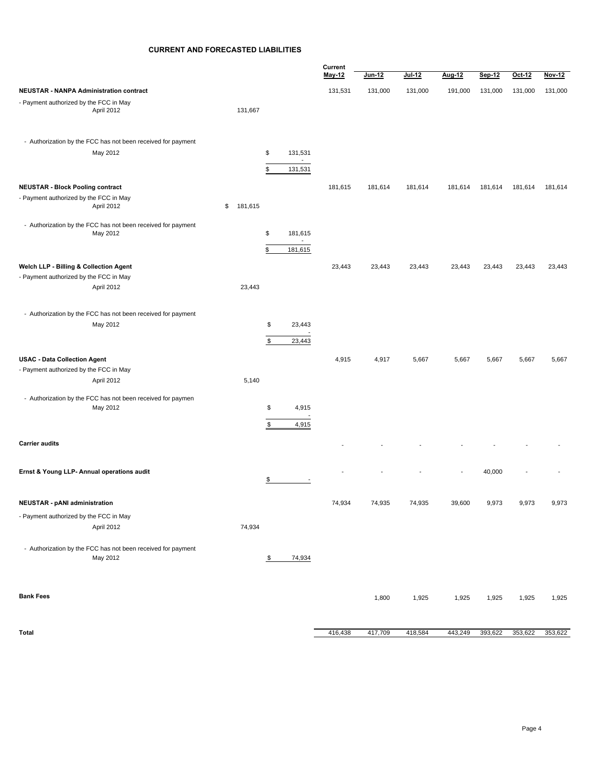### **CURRENT AND FORECASTED LIABILITIES**

|                                                              |               |           |                                     | Current       |         |         |         |         |         |         |
|--------------------------------------------------------------|---------------|-----------|-------------------------------------|---------------|---------|---------|---------|---------|---------|---------|
|                                                              |               |           |                                     | <b>May-12</b> | Jun-12  | Jul-12  | Aug-12  | Sep-12  | Oct-12  | Nov-12  |
| <b>NEUSTAR - NANPA Administration contract</b>               |               |           |                                     | 131,531       | 131,000 | 131,000 | 191,000 | 131,000 | 131,000 | 131,000 |
| - Payment authorized by the FCC in May                       |               |           |                                     |               |         |         |         |         |         |         |
| April 2012                                                   | 131,667       |           |                                     |               |         |         |         |         |         |         |
|                                                              |               |           |                                     |               |         |         |         |         |         |         |
|                                                              |               |           |                                     |               |         |         |         |         |         |         |
| - Authorization by the FCC has not been received for payment |               |           |                                     |               |         |         |         |         |         |         |
| May 2012                                                     |               | \$        | 131,531                             |               |         |         |         |         |         |         |
|                                                              |               |           | $\sim$                              |               |         |         |         |         |         |         |
|                                                              |               | \$        | 131,531                             |               |         |         |         |         |         |         |
| <b>NEUSTAR - Block Pooling contract</b>                      |               |           |                                     | 181,615       | 181,614 | 181,614 | 181,614 | 181,614 | 181,614 | 181,614 |
| - Payment authorized by the FCC in May                       |               |           |                                     |               |         |         |         |         |         |         |
| April 2012                                                   | \$<br>181,615 |           |                                     |               |         |         |         |         |         |         |
|                                                              |               |           |                                     |               |         |         |         |         |         |         |
| - Authorization by the FCC has not been received for payment |               |           |                                     |               |         |         |         |         |         |         |
| May 2012                                                     |               | \$        | 181,615<br>$\overline{\phantom{a}}$ |               |         |         |         |         |         |         |
|                                                              |               | \$        | 181,615                             |               |         |         |         |         |         |         |
|                                                              |               |           |                                     |               |         |         |         |         |         |         |
| Welch LLP - Billing & Collection Agent                       |               |           |                                     | 23,443        | 23,443  | 23,443  | 23,443  | 23,443  | 23,443  | 23,443  |
| - Payment authorized by the FCC in May                       |               |           |                                     |               |         |         |         |         |         |         |
| April 2012                                                   | 23,443        |           |                                     |               |         |         |         |         |         |         |
|                                                              |               |           |                                     |               |         |         |         |         |         |         |
| - Authorization by the FCC has not been received for payment |               |           |                                     |               |         |         |         |         |         |         |
| May 2012                                                     |               | \$        | 23,443                              |               |         |         |         |         |         |         |
|                                                              |               |           |                                     |               |         |         |         |         |         |         |
|                                                              |               | \$        | 23,443                              |               |         |         |         |         |         |         |
|                                                              |               |           |                                     |               |         |         |         |         |         |         |
| <b>USAC - Data Collection Agent</b>                          |               |           |                                     | 4,915         | 4,917   | 5,667   | 5,667   | 5,667   | 5,667   | 5,667   |
| - Payment authorized by the FCC in May                       |               |           |                                     |               |         |         |         |         |         |         |
| April 2012                                                   | 5,140         |           |                                     |               |         |         |         |         |         |         |
| - Authorization by the FCC has not been received for paymen  |               |           |                                     |               |         |         |         |         |         |         |
| May 2012                                                     |               | \$        | 4,915                               |               |         |         |         |         |         |         |
|                                                              |               |           |                                     |               |         |         |         |         |         |         |
|                                                              |               | \$        | 4,915                               |               |         |         |         |         |         |         |
|                                                              |               |           |                                     |               |         |         |         |         |         |         |
| <b>Carrier audits</b>                                        |               |           |                                     |               |         |         |         |         |         |         |
|                                                              |               |           |                                     |               |         |         |         |         |         |         |
| Ernst & Young LLP- Annual operations audit                   |               |           |                                     |               |         |         |         | 40,000  |         |         |
|                                                              |               | \$        |                                     |               |         |         |         |         |         |         |
|                                                              |               |           |                                     |               |         |         |         |         |         |         |
| NEUSTAR - pANI administration                                |               |           |                                     | 74,934        | 74,935  | 74,935  | 39,600  | 9,973   | 9,973   | 9,973   |
|                                                              |               |           |                                     |               |         |         |         |         |         |         |
| - Payment authorized by the FCC in May                       |               |           |                                     |               |         |         |         |         |         |         |
| April 2012                                                   | 74,934        |           |                                     |               |         |         |         |         |         |         |
|                                                              |               |           |                                     |               |         |         |         |         |         |         |
| - Authorization by the FCC has not been received for payment |               |           |                                     |               |         |         |         |         |         |         |
| May 2012                                                     |               | <u>\$</u> | 74,934                              |               |         |         |         |         |         |         |
|                                                              |               |           |                                     |               |         |         |         |         |         |         |
|                                                              |               |           |                                     |               |         |         |         |         |         |         |
| <b>Bank Fees</b>                                             |               |           |                                     |               | 1,800   | 1,925   | 1,925   | 1,925   | 1,925   | 1,925   |
|                                                              |               |           |                                     |               |         |         |         |         |         |         |
|                                                              |               |           |                                     |               |         |         |         |         |         |         |
|                                                              |               |           |                                     |               |         |         |         |         |         |         |
| Total                                                        |               |           |                                     | 416,438       | 417,709 | 418,584 | 443,249 | 393,622 | 353,622 | 353,622 |